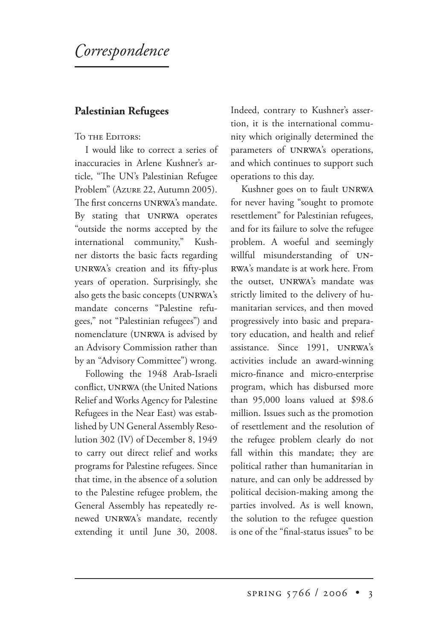# *orrespondence*

#### **Palestinian Refugees**

#### TO THE EDITORS:

I would like to correct a series of inaccuracies in Arlene Kushner's article, "The UN's Palestinian Refugee Problem" (AZURE 22, Autumn 2005). The first concerns UNRWA's mandate. By stating that UNRWA operates "outside the norms accepted by the international community," Kushner distorts the basic facts regarding UNRWA's creation and its fifty-plus years of operation. Surprisingly, she also gets the basic concepts (UNRWA's mandate concerns "Palestine refugees," not "Palestinian refugees") and nomenclature (UNRWA is advised by an Advisory Commission rather than by an "Advisory Committee") wrong.

Following the 1948 Arab-Israeli conflict, UNRWA (the United Nations Relief and Works Agency for Palestine Refugees in the Near East) was established by UN General Assembly Resolution 302 (IV) of December 8, 1949 to carry out direct relief and works programs for Palestine refugees. Since that time, in the absence of a solution to the Palestine refugee problem, the General Assembly has repeatedly renewed UNRWA's mandate, recently extending it until June 30, 2008. Indeed, contrary to Kushner's assertion, it is the international community which originally determined the parameters of UNRWA's operations, and which continues to support such operations to this day.

Kushner goes on to fault UNRWA for never having "sought to promote resettlement" for Palestinian refugees, and for its failure to solve the refugee problem. A woeful and seemingly willful misunderstanding of UN-RWA's mandate is at work here. From the outset, UNRWA's mandate was strictly limited to the delivery of humanitarian services, and then moved progressively into basic and preparatory education, and health and relief assistance. Since 1991, UNRWA's activities include an award-winning micro-finance and micro-enterprise program, which has disbursed more than 95,000 loans valued at \$98.6 million. Issues such as the promotion of resettlement and the resolution of the refugee problem clearly do not fall within this mandate; they are political rather than humanitarian in nature, and can only be addressed by political decision-making among the parties involved. As is well known, the solution to the refugee question is one of the "final-status issues" to be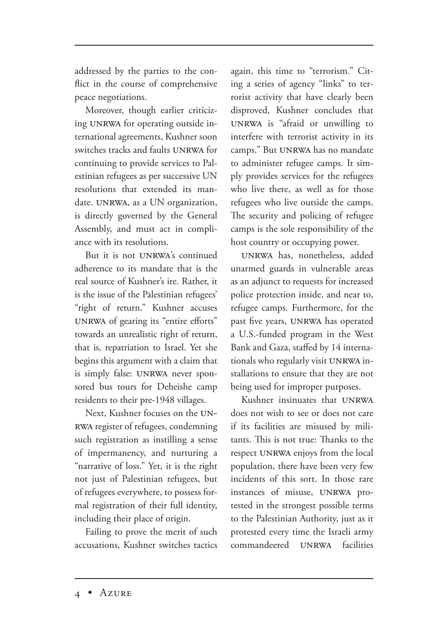addressed by the parties to the conflict in the course of comprehensive peace negotiations.

Moreover, though earlier criticizing UNRWA for operating outside international agreements, Kushner soon switches tracks and faults UNRWA for continuing to provide services to Palestinian refugees as per successive UN resolutions that extended its mandate. UNRWA, as a UN organization, is directly governed by the General Assembly, and must act in compliance with its resolutions.

But it is not UNRWA's continued adherence to its mandate that is the real source of Kushner's ire. Rather, it is the issue of the Palestinian refugees' "right of return." Kushner accuses UNRWA of gearing its "entire efforts" towards an unrealistic right of return, that is, repatriation to Israel. Yet she begins this argument with a claim that is simply false: UNRWA never sponsored bus tours for Deheishe camp residents to their pre-1948 villages.

Next, Kushner focuses on the UN-RWA register of refugees, condemning such registration as instilling a sense of impermanency, and nurturing a "narrative of loss." Yet, it is the right not just of Palestinian refugees, but of refugees everywhere, to possess formal registration of their full identity, including their place of origin.

Failing to prove the merit of such accusations, Kushner switches tactics again, this time to "terrorism." Citing a series of agency "links" to terrorist activity that have clearly been disproved, Kushner concludes that UNRWA is "afraid or unwilling to interfere with terrorist activity in its camps." But UNRWA has no mandate to administer refugee camps. It simply provides services for the refugees who live there, as well as for those refugees who live outside the camps. The security and policing of refugee camps is the sole responsibility of the host country or occupying power.

UNRWA has, nonetheless, added unarmed guards in vulnerable areas as an adjunct to requests for increased police protection inside, and near to, refugee camps. Furthermore, for the past five years, UNRWA has operated a U.S.-funded program in the West Bank and Gaza, staffed by 14 internationals who regularly visit UNRWA installations to ensure that they are not being used for improper purposes.

Kushner insinuates that UNRWA does not wish to see or does not care if its facilities are misused by militants. This is not true: Thanks to the respect UNRWA enjoys from the local population, there have been very few incidents of this sort. In those rare instances of misuse, UNRWA protested in the strongest possible terms to the Palestinian Authority, just as it protested every time the Israeli army commandeered **IJNRWA** facilities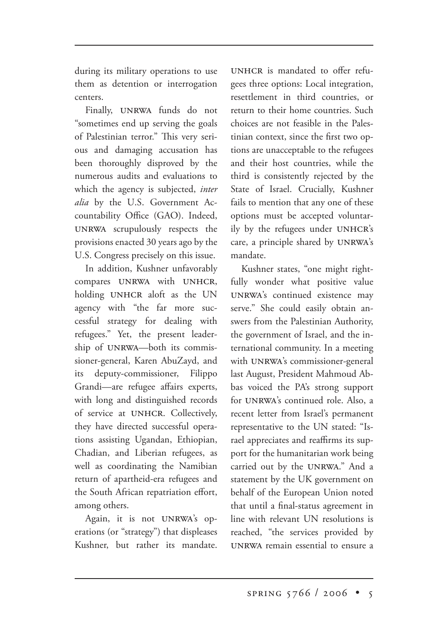during its military operations to use them as detention or interrogation centers.

Finally, UNRWA funds do not "sometimes end up serving the goals of Palestinian terror." This very serious and damaging accusation has been thoroughly disproved by the numerous audits and evaluations to which the agency is subjected, *inter alia* by the U.S. Government Accountability Office (GAO). Indeed, UNRWA scrupulously respects the provisions enacted 30 years ago by the U.S. Congress precisely on this issue.

In addition, Kushner unfavorably compares UNRWA with UNHCR, holding UNHCR aloft as the UN agency with "the far more successful strategy for dealing with refugees." Yet, the present leadership of UNRWA-both its commissioner-general, Karen AbuZayd, and its deputy-commissioner, Filippo Grandi—are refugee affairs experts, with long and distinguished records of service at UNHCR. Collectively, they have directed successful operations assisting Ugandan, Ethiopian, Chadian, and Liberian refugees, as well as coordinating the Namibian return of apartheid-era refugees and the South African repatriation effort, among others.

Again, it is not UNRWA's operations (or "strategy") that displeases Kushner, but rather its mandate. UNHCR is mandated to offer refugees three options: Local integration, resettlement in third countries, or return to their home countries. Such choices are not feasible in the Palestinian context, since the first two options are unacceptable to the refugees and their host countries, while the third is consistently rejected by the State of Israel. Crucially, Kushner fails to mention that any one of these options must be accepted voluntarily by the refugees under UNHCR's care, a principle shared by UNRWA's mandate.

Kushner states, "one might rightfully wonder what positive value UNRWA's continued existence may serve." She could easily obtain answers from the Palestinian Authority, the government of Israel, and the international community. In a meeting with UNRWA's commissioner-general last August, President Mahmoud Abbas voiced the PA's strong support for UNRWA's continued role. Also, a recent letter from Israel's permanent representative to the UN stated: "Israel appreciates and reaffirms its support for the humanitarian work being carried out by the UNRWA." And a statement by the UK government on behalf of the European Union noted that until a final-status agreement in line with relevant UN resolutions is reached, "the services provided by UNRWA remain essential to ensure a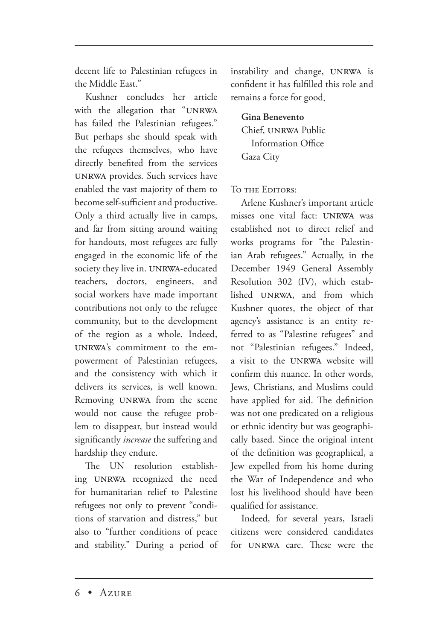decent life to Palestinian refugees in the Middle East."

Kushner concludes her article with the allegation that "UNRWA has failed the Palestinian refugees." But perhaps she should speak with the refugees themselves, who have directly benefited from the services UNRWA provides. Such services have enabled the vast majority of them to become self-sufficient and productive. Only a third actually live in camps, and far from sitting around waiting for handouts, most refugees are fully engaged in the economic life of the society they live in. UNRWA-educated teachers, doctors, engineers, and social workers have made important contributions not only to the refugee community, but to the development of the region as a whole. Indeed, UNRWA's commitment to the empowerment of Palestinian refugees, and the consistency with which it delivers its services, is well known. Removing UNRWA from the scene would not cause the refugee problem to disappear, but instead would significantly *increase* the suffering and hardship they endure.

The UN resolution establishing UNRWA recognized the need for humanitarian relief to Palestine refugees not only to prevent "conditions of starvation and distress," but also to "further conditions of peace and stability." During a period of instability and change, UNRWA is confident it has fulfilled this role and remains a force for good.

**Gina Benevento** Chief, UNRWA Public Information Office Gaza City

TO THE EDITORS:

Arlene Kushner's important article misses one vital fact: UNRWA was established not to direct relief and works programs for "the Palestinian Arab refugees." Actually, in the December 1949 General Assembly Resolution 302 (IV), which established UNRWA, and from which Kushner quotes, the object of that agency's assistance is an entity referred to as "Palestine refugees" and not "Palestinian refugees." Indeed, a visit to the UNRWA website will confirm this nuance. In other words, Jews, Christians, and Muslims could have applied for aid. The definition was not one predicated on a religious or ethnic identity but was geographically based. Since the original intent of the definition was geographical, a Jew expelled from his home during the War of Independence and who lost his livelihood should have been qualified for assistance.

Indeed, for several years, Israeli citizens were considered candidates for UNRWA care. These were the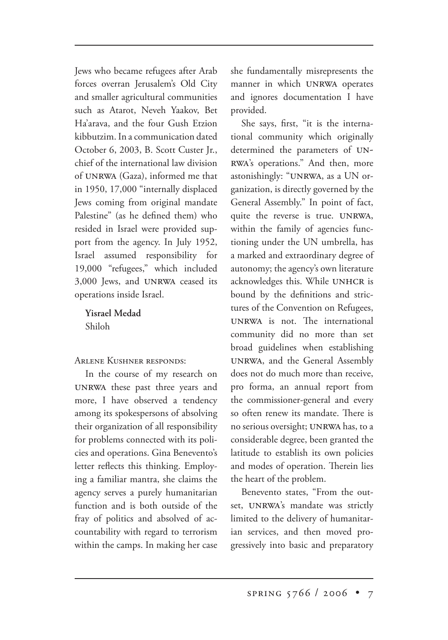Jews who became refugees after Arab forces overran Jerusalem's Old City and smaller agricultural communities such as Atarot, Neveh Yaakov, Bet Ha'arava, and the four Gush Etzion kibbutzim. In a communication dated October 6, 2003, B. Scott Custer Jr., chief of the international law division of UNRWA (Gaza), informed me that in 1950, 17,000 "internally displaced Jews coming from original mandate Palestine" (as he defined them) who resided in Israel were provided support from the agency. In July 1952, Israel assumed responsibility for 19,000 "refugees," which included 3,000 Jews, and UNRWA ceased its operations inside Israel.

**Yisrael Medad** Shiloh

ARLENE KUSHNER RESPONDS:

In the course of my research on UNRWA these past three years and more, I have observed a tendency among its spokespersons of absolving their organization of all responsibility for problems connected with its policies and operations. Gina Benevento's letter reflects this thinking. Employing a familiar mantra, she claims the agency serves a purely humanitarian function and is both outside of the fray of politics and absolved of accountability with regard to terrorism within the camps. In making her case she fundamentally misrepresents the manner in which UNRWA operates and ignores documentation I have provided.

She says, first, "it is the international community which originally determined the parameters of UN-RWA's operations." And then, more astonishingly: "UNRWA, as a UN organization, is directly governed by the General Assembly." In point of fact, quite the reverse is true. UNRWA, within the family of agencies functioning under the UN umbrella, has a marked and extraordinary degree of autonomy; the agency's own literature acknowledges this. While UNHCR is bound by the definitions and strictures of the Convention on Refugees, UNRWA is not. The international community did no more than set broad guidelines when establishing UNRWA, and the General Assembly does not do much more than receive, pro forma, an annual report from the commissioner-general and every so often renew its mandate. There is no serious oversight; UNRWA has, to a considerable degree, been granted the latitude to establish its own policies and modes of operation. Therein lies the heart of the problem.

Benevento states, "From the outset, UNRWA's mandate was strictly limited to the delivery of humanitarian services, and then moved progressively into basic and preparatory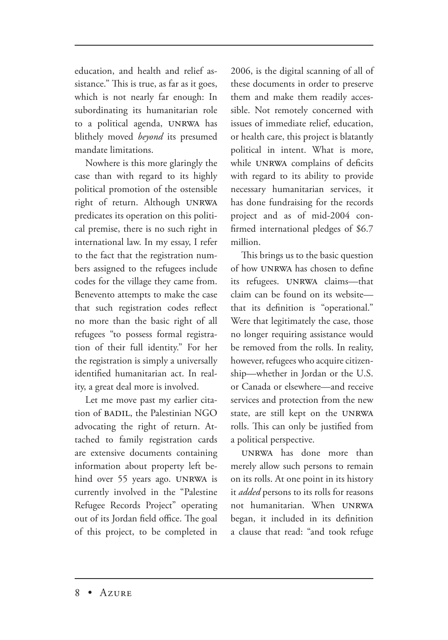education, and health and relief assistance." This is true, as far as it goes, which is not nearly far enough: In subordinating its humanitarian role to a political agenda, UNRWA has blithely moved *beyond* its presumed mandate limitations.

Nowhere is this more glaringly the case than with regard to its highly political promotion of the ostensible right of return. Although predicates its operation on this political premise, there is no such right in international law. In my essay, I refer to the fact that the registration numbers assigned to the refugees include codes for the village they came from. Benevento attempts to make the case that such registration codes reflect no more than the basic right of all refugees "to possess formal registration of their full identity." For her the registration is simply a universally identified humanitarian act. In reality, a great deal more is involved.

Let me move past my earlier citation of BADIL, the Palestinian NGO advocating the right of return. Attached to family registration cards are extensive documents containing information about property left behind over 55 years ago. UNRWA is currently involved in the "Palestine Refugee Records Project" operating out of its Jordan field office. The goal of this project, to be completed in 2006, is the digital scanning of all of these documents in order to preserve them and make them readily accessible. Not remotely concerned with issues of immediate relief, education, or health care, this project is blatantly political in intent. What is more, while UNRWA complains of deficits with regard to its ability to provide necessary humanitarian services, it has done fundraising for the records project and as of mid-2004 confirmed international pledges of \$6.7 million.

This brings us to the basic question of how UNRWA has chosen to define its refugees. UNRWA claims-that claim can be found on its website that its definition is "operational." Were that legitimately the case, those no longer requiring assistance would be removed from the rolls. In reality, however, refugees who acquire citizenship—whether in Jordan or the U.S. or Canada or elsewhere—and receive services and protection from the new state, are still kept on the rolls. This can only be justified from a political perspective.

UNRWA has done more than merely allow such persons to remain on its rolls. At one point in its history it *added* persons to its rolls for reasons not humanitarian. When began, it included in its definition a clause that read: "and took refuge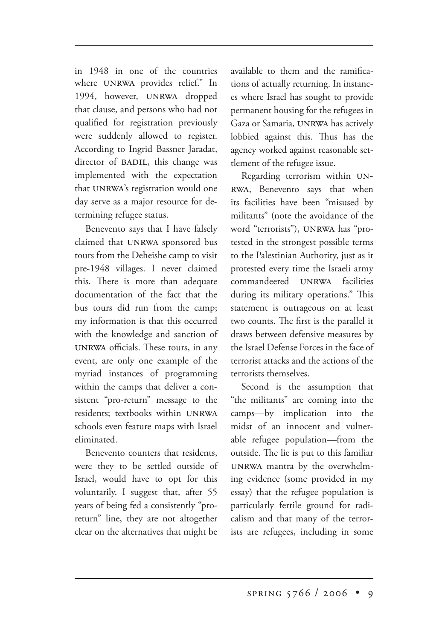in 1948 in one of the countries where UNRWA provides relief." In 1994, however, UNRWA dropped that clause, and persons who had not qualified for registration previously were suddenly allowed to register. According to Ingrid Bassner Jaradat, director of BADIL, this change was implemented with the expectation that UNRWA's registration would one day serve as a major resource for determining refugee status.

Benevento says that I have falsely claimed that UNRWA sponsored bus tours from the Deheishe camp to visit pre-1948 villages. I never claimed this. There is more than adequate documentation of the fact that the bus tours did run from the camp; my information is that this occurred with the knowledge and sanction of UNRWA officials. These tours, in any event, are only one example of the myriad instances of programming within the camps that deliver a consistent "pro-return" message to the residents; textbooks within schools even feature maps with Israel eliminated.

Benevento counters that residents, were they to be settled outside of Israel, would have to opt for this voluntarily. I suggest that, after 55 years of being fed a consistently "proreturn" line, they are not altogether clear on the alternatives that might be

available to them and the ramifications of actually returning. In instances where Israel has sought to provide permanent housing for the refugees in Gaza or Samaria, UNRWA has actively lobbied against this. Thus has the agency worked against reasonable settlement of the refugee issue.

Regarding terrorism within UN-, Benevento says that when its facilities have been "misused by militants" (note the avoidance of the word "terrorists"), UNRWA has "protested in the strongest possible terms to the Palestinian Authority, just as it protested every time the Israeli army commandeered UNRWA facilities during its military operations." This statement is outrageous on at least two counts. The first is the parallel it draws between defensive measures by the Israel Defense Forces in the face of terrorist attacks and the actions of the terrorists themselves.

Second is the assumption that "the militants" are coming into the camps—by implication into the midst of an innocent and vulnerable refugee population—from the outside. The lie is put to this familiar UNRWA mantra by the overwhelming evidence (some provided in my essay) that the refugee population is particularly fertile ground for radicalism and that many of the terrorists are refugees, including in some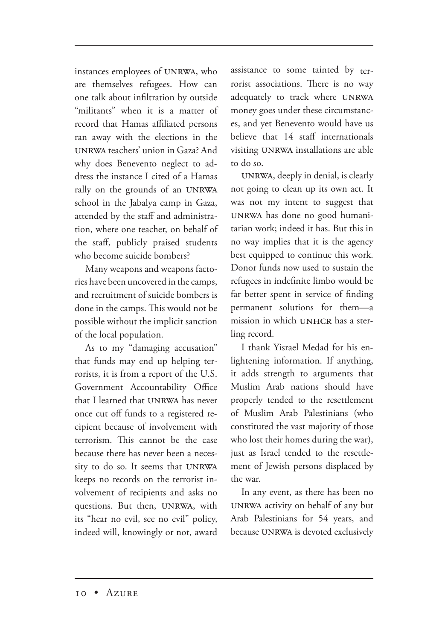instances employees of UNRWA, who are themselves refugees. How can one talk about infiltration by outside "militants" when it is a matter of record that Hamas affiliated persons ran away with the elections in the UNRWA teachers' union in Gaza? And why does Benevento neglect to address the instance I cited of a Hamas rally on the grounds of an UNRWA school in the Jabalya camp in Gaza, attended by the staff and administration, where one teacher, on behalf of the staff, publicly praised students who become suicide bombers?

Many weapons and weapons factories have been uncovered in the camps, and recruitment of suicide bombers is done in the camps. This would not be possible without the implicit sanction of the local population.

As to my "damaging accusation" that funds may end up helping terrorists, it is from a report of the U.S. Government Accountability Office that I learned that UNRWA has never once cut off funds to a registered recipient because of involvement with terrorism. This cannot be the case because there has never been a necessity to do so. It seems that UNRWA keeps no records on the terrorist involvement of recipients and asks no questions. But then, UNRWA, with its "hear no evil, see no evil" policy, indeed will, knowingly or not, award assistance to some tainted by terrorist associations. There is no way adequately to track where UNRWA money goes under these circumstances, and yet Benevento would have us believe that 14 staff internationals visiting UNRWA installations are able to do so.

UNRWA, deeply in denial, is clearly not going to clean up its own act. It was not my intent to suggest that UNRWA has done no good humanitarian work; indeed it has. But this in no way implies that it is the agency best equipped to continue this work. Donor funds now used to sustain the refugees in indefinite limbo would be far better spent in service of finding permanent solutions for them—a mission in which UNHCR has a sterling record.

I thank Yisrael Medad for his enlightening information. If anything, it adds strength to arguments that Muslim Arab nations should have properly tended to the resettlement of Muslim Arab Palestinians (who constituted the vast majority of those who lost their homes during the war), just as Israel tended to the resettlement of Jewish persons displaced by the war.

In any event, as there has been no UNRWA activity on behalf of any but Arab Palestinians for 54 years, and because UNRWA is devoted exclusively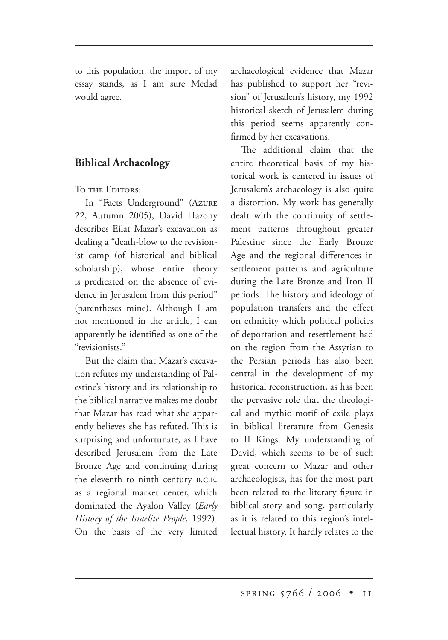to this population, the import of my essay stands, as I am sure Medad would agree.

## **Biblical Archaeology**

TO THE EDITORS:

In "Facts Underground" (AZURE 22, Autumn 2005), David Hazony describes Eilat Mazar's excavation as dealing a "death-blow to the revisionist camp (of historical and biblical scholarship), whose entire theory is predicated on the absence of evidence in Jerusalem from this period" (parentheses mine). Although I am not mentioned in the article, I can apparently be identified as one of the "revisionists."

But the claim that Mazar's excavation refutes my understanding of Palestine's history and its relationship to the biblical narrative makes me doubt that Mazar has read what she apparently believes she has refuted. This is surprising and unfortunate, as I have described Jerusalem from the Late Bronze Age and continuing during the eleventh to ninth century B.C.E. as a regional market center, which dominated the Ayalon Valley (*Early History of the Israelite People*, 1992). On the basis of the very limited archaeological evidence that Mazar has published to support her "revision" of Jerusalem's history, my 1992 historical sketch of Jerusalem during this period seems apparently confirmed by her excavations.

The additional claim that the entire theoretical basis of my historical work is centered in issues of Jerusalem's archaeology is also quite a distortion. My work has generally dealt with the continuity of settlement patterns throughout greater Palestine since the Early Bronze Age and the regional differences in settlement patterns and agriculture during the Late Bronze and Iron II periods. The history and ideology of population transfers and the effect on ethnicity which political policies of deportation and resettlement had on the region from the Assyrian to the Persian periods has also been central in the development of my historical reconstruction, as has been the pervasive role that the theological and mythic motif of exile plays in biblical literature from Genesis to II Kings. My understanding of David, which seems to be of such great concern to Mazar and other archaeologists, has for the most part been related to the literary figure in biblical story and song, particularly as it is related to this region's intellectual history. It hardly relates to the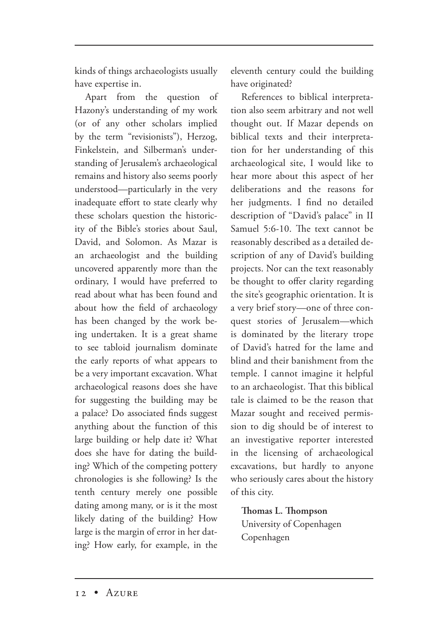kinds of things archaeologists usually have expertise in.

Apart from the question of Hazony's understanding of my work (or of any other scholars implied by the term "revisionists"), Herzog, Finkelstein, and Silberman's understanding of Jerusalem's archaeological remains and history also seems poorly understood—particularly in the very inadequate effort to state clearly why these scholars question the historicity of the Bible's stories about Saul, David, and Solomon. As Mazar is an archaeologist and the building uncovered apparently more than the ordinary, I would have preferred to read about what has been found and about how the field of archaeology has been changed by the work being undertaken. It is a great shame to see tabloid journalism dominate the early reports of what appears to be a very important excavation. What archaeological reasons does she have for suggesting the building may be a palace? Do associated finds suggest anything about the function of this large building or help date it? What does she have for dating the building? Which of the competing pottery chronologies is she following? Is the tenth century merely one possible dating among many, or is it the most likely dating of the building? How large is the margin of error in her dating? How early, for example, in the

eleventh century could the building have originated?

References to biblical interpretation also seem arbitrary and not well thought out. If Mazar depends on biblical texts and their interpretation for her understanding of this archaeological site, I would like to hear more about this aspect of her deliberations and the reasons for her judgments. I find no detailed description of "David's palace" in II Samuel 5:6-10. The text cannot be reasonably described as a detailed description of any of David's building projects. Nor can the text reasonably be thought to offer clarity regarding the site's geographic orientation. It is a very brief story—one of three conquest stories of Jerusalem—which is dominated by the literary trope of David's hatred for the lame and blind and their banishment from the temple. I cannot imagine it helpful to an archaeologist. That this biblical tale is claimed to be the reason that Mazar sought and received permission to dig should be of interest to an investigative reporter interested in the licensing of archaeological excavations, but hardly to anyone who seriously cares about the history of this city.

**Thomas L. Thompson** University of Copenhagen Copenhagen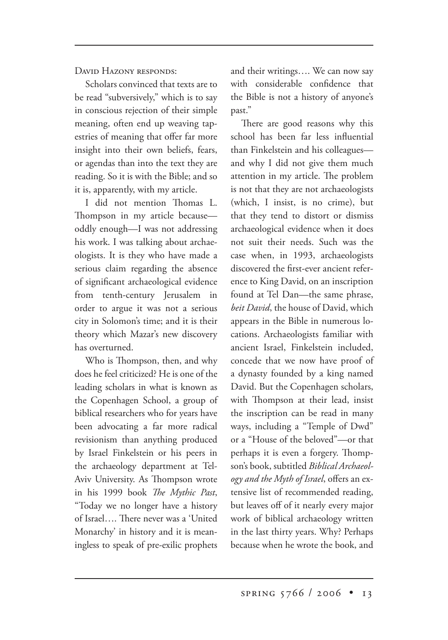DAVID HAZONY RESPONDS:

Scholars convinced that texts are to be read "subversively," which is to say in conscious rejection of their simple meaning, often end up weaving tapestries of meaning that offer far more insight into their own beliefs, fears, or agendas than into the text they are reading. So it is with the Bible; and so it is, apparently, with my article.

I did not mention Thomas L. Thompson in my article because oddly enough—I was not addressing his work. I was talking about archaeologists. It is they who have made a serious claim regarding the absence of significant archaeological evidence from tenth-century Jerusalem in order to argue it was not a serious city in Solomon's time; and it is their theory which Mazar's new discovery has overturned.

Who is Thompson, then, and why does he feel criticized? He is one of the leading scholars in what is known as the Copenhagen School, a group of biblical researchers who for years have been advocating a far more radical revisionism than anything produced by Israel Finkelstein or his peers in the archaeology department at Tel-Aviv University. As Thompson wrote in his 1999 book *The Mythic Past*, "Today we no longer have a history of Israel.... There never was a 'United Monarchy' in history and it is meaningless to speak of pre-exilic prophets

and their writings…. We can now say with considerable confidence that the Bible is not a history of anyone's past."

There are good reasons why this school has been far less influential than Finkelstein and his colleagues and why I did not give them much attention in my article. The problem is not that they are not archaeologists (which, I insist, is no crime), but that they tend to distort or dismiss archaeological evidence when it does not suit their needs. Such was the case when, in 1993, archaeologists discovered the first-ever ancient reference to King David, on an inscription found at Tel Dan—the same phrase, *beit David*, the house of David, which appears in the Bible in numerous locations. Archaeologists familiar with ancient Israel, Finkelstein included, concede that we now have proof of a dynasty founded by a king named David. But the Copenhagen scholars, with Thompson at their lead, insist the inscription can be read in many ways, including a "Temple of Dwd" or a "House of the beloved"—or that perhaps it is even a forgery. Thompson's book, subtitled *Biblical Archaeology and the Myth of Israel*, offers an extensive list of recommended reading, but leaves off of it nearly every major work of biblical archaeology written in the last thirty years. Why? Perhaps because when he wrote the book, and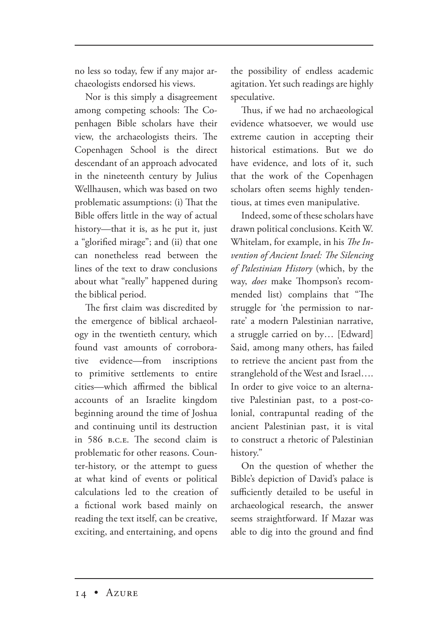no less so today, few if any major archaeologists endorsed his views.

Nor is this simply a disagreement among competing schools: The Copenhagen Bible scholars have their view, the archaeologists theirs. The Copenhagen School is the direct descendant of an approach advocated in the nineteenth century by Julius Wellhausen, which was based on two problematic assumptions: (i) That the Bible offers little in the way of actual history—that it is, as he put it, just a "glorified mirage"; and (ii) that one can nonetheless read between the lines of the text to draw conclusions about what "really" happened during the biblical period.

The first claim was discredited by the emergence of biblical archaeology in the twentieth century, which found vast amounts of corroborative evidence—from inscriptions to primitive settlements to entire cities—which affirmed the biblical accounts of an Israelite kingdom beginning around the time of Joshua and continuing until its destruction in 586 B.C.E. The second claim is problematic for other reasons. Counter-history, or the attempt to guess at what kind of events or political calculations led to the creation of a fictional work based mainly on reading the text itself, can be creative, exciting, and entertaining, and opens

the possibility of endless academic agitation. Yet such readings are highly speculative.

Thus, if we had no archaeological evidence whatsoever, we would use extreme caution in accepting their historical estimations. But we do have evidence, and lots of it, such that the work of the Copenhagen scholars often seems highly tendentious, at times even manipulative.

Indeed, some of these scholars have drawn political conclusions. Keith W. Whitelam, for example, in his *The Invention of Ancient Israel: The Silencing of Palestinian History* (which, by the way, *does* make Thompson's recommended list) complains that "The struggle for 'the permission to narrate' a modern Palestinian narrative, a struggle carried on by… [Edward] Said, among many others, has failed to retrieve the ancient past from the stranglehold of the West and Israel…. In order to give voice to an alternative Palestinian past, to a post-colonial, contrapuntal reading of the ancient Palestinian past, it is vital to construct a rhetoric of Palestinian history."

On the question of whether the Bible's depiction of David's palace is sufficiently detailed to be useful in archaeological research, the answer seems straightforward. If Mazar was able to dig into the ground and find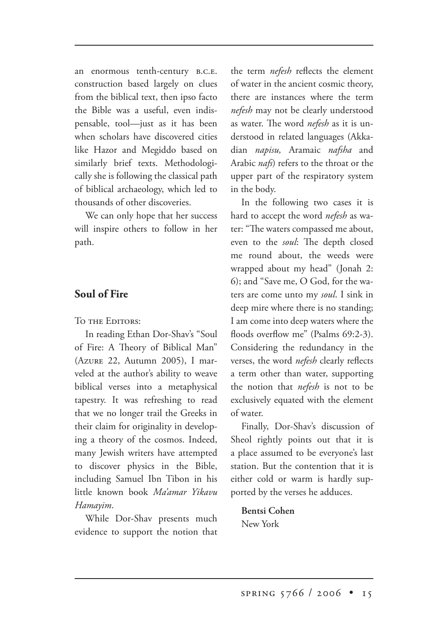an enormous tenth-century B.C.E. construction based largely on clues from the biblical text, then ipso facto the Bible was a useful, even indispensable, tool—just as it has been when scholars have discovered cities like Hazor and Megiddo based on similarly brief texts. Methodologically she is following the classical path of biblical archaeology, which led to thousands of other discoveries.

We can only hope that her success will inspire others to follow in her path.

### **Soul of Fire**

TO THE EDITORS:

In reading Ethan Dor-Shav's "Soul of Fire: A Theory of Biblical Man" (AZURE 22, Autumn 2005), I marveled at the author's ability to weave biblical verses into a metaphysical tapestry. It was refreshing to read that we no longer trail the Greeks in their claim for originality in developing a theory of the cosmos. Indeed, many Jewish writers have attempted to discover physics in the Bible, including Samuel Ibn Tibon in his little known book *Ma'amar Yikavu Hamayim*.

While Dor-Shav presents much evidence to support the notion that the term *nefesh* reflects the element of water in the ancient cosmic theory, there are instances where the term *nefesh* may not be clearly understood as water. The word *nefesh* as it is understood in related languages (Akkadian *napisu,* Aramaic *nafsha* and Arabic *nafs*) refers to the throat or the upper part of the respiratory system in the body.

In the following two cases it is hard to accept the word *nefesh* as water: "The waters compassed me about, even to the *soul*: The depth closed me round about, the weeds were wrapped about my head" (Jonah 2: 6); and "Save me, O God, for the waters are come unto my *soul*. I sink in deep mire where there is no standing; I am come into deep waters where the floods overflow me" (Psalms 69:2-3). Considering the redundancy in the verses, the word *nefesh* clearly reflects a term other than water, supporting the notion that *nefesh* is not to be exclusively equated with the element of water.

Finally, Dor-Shav's discussion of Sheol rightly points out that it is a place assumed to be everyone's last station. But the contention that it is either cold or warm is hardly supported by the verses he adduces.

**Bentsi Cohen** New York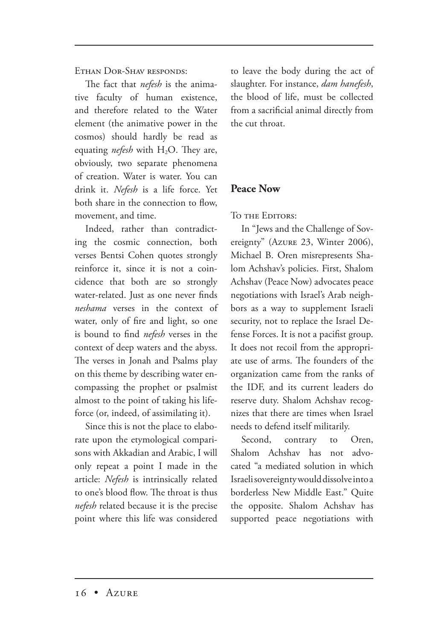ETHAN DOR-SHAV RESPONDS:

The fact that *nefesh* is the animative faculty of human existence, and therefore related to the Water element (the animative power in the cosmos) should hardly be read as equating *nefesh* with H<sub>2</sub>O. They are, obviously, two separate phenomena of creation. Water is water. You can drink it. *Nefesh* is a life force. Yet both share in the connection to flow, movement, and time.

Indeed, rather than contradicting the cosmic connection, both verses Bentsi Cohen quotes strongly reinforce it, since it is not a coincidence that both are so strongly water-related. Just as one never finds *neshama* verses in the context of water, only of fire and light, so one is bound to find *nefesh* verses in the context of deep waters and the abyss. The verses in Jonah and Psalms play on this theme by describing water encompassing the prophet or psalmist almost to the point of taking his lifeforce (or, indeed, of assimilating it).

Since this is not the place to elaborate upon the etymological comparisons with Akkadian and Arabic, I will only repeat a point I made in the article: *Nefesh* is intrinsically related to one's blood flow. The throat is thus *nefesh* related because it is the precise point where this life was considered to leave the body during the act of slaughter. For instance, *dam hanefesh*, the blood of life, must be collected from a sacrificial animal directly from the cut throat.

## **Peace Now**

TO THE EDITORS:

In "Jews and the Challenge of Sovereignty" (Azure 23, Winter 2006), Michael B. Oren misrepresents Shalom Achshav's policies. First, Shalom Achshav (Peace Now) advocates peace negotiations with Israel's Arab neighbors as a way to supplement Israeli security, not to replace the Israel Defense Forces. It is not a pacifist group. It does not recoil from the appropriate use of arms. The founders of the organization came from the ranks of the IDF, and its current leaders do reserve duty. Shalom Achshav recognizes that there are times when Israel needs to defend itself militarily.

Second, contrary to Oren, Shalom Achshav has not advocated "a mediated solution in which Israeli sovereignty would dissolve into a borderless New Middle East." Quite the opposite. Shalom Achshav has supported peace negotiations with